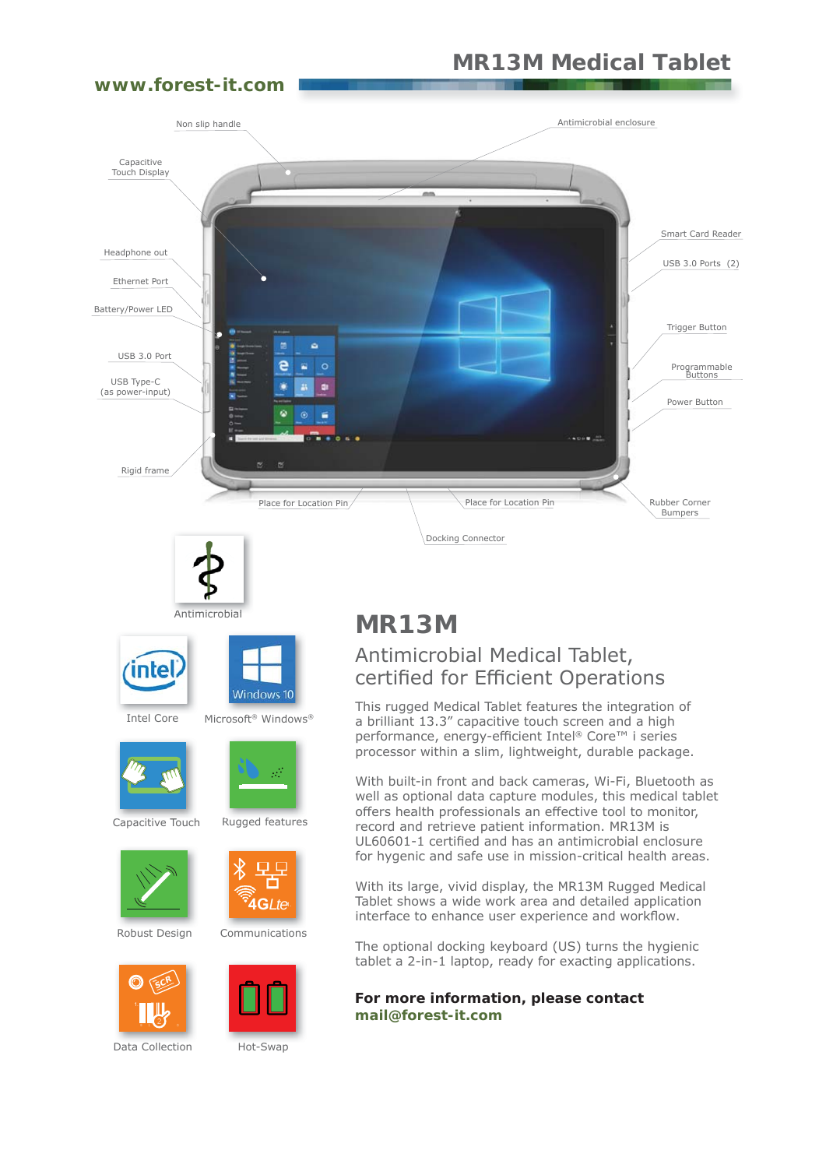# **MR13M Medical Tablet**

# **www.forest-it.com**





certified for Efficient Operations

This rugged Medical Tablet features the integration of a brilliant 13.3" capacitive touch screen and a high performance, energy-efficient Intel® Core™ i series processor within a slim, lightweight, durable package.

With built-in front and back cameras, Wi-Fi, Bluetooth as well as optional data capture modules, this medical tablet offers health professionals an effective tool to monitor, record and retrieve patient information. MR13M is UL60601-1 certified and has an antimicrobial enclosure for hygenic and safe use in mission-critical health areas.

With its large, vivid display, the MR13M Rugged Medical Tablet shows a wide work area and detailed application interface to enhance user experience and workflow.

The optional docking keyboard (US) turns the hygienic tablet a 2-in-1 laptop, ready for exacting applications.

**For more information, please contact mail@forest-it.com**

inte Windows 10 Microsoft® Windows® Intel Core

Antimicrobial





Rugged features

Capacitive Touch





Robust Design Communications



Data Collection

Hot-Swap